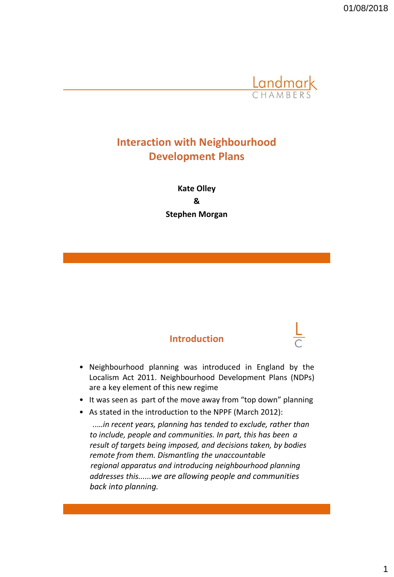

# **Interaction with Neighbourhood Development Plans**

**Kate Olley & Stephen Morgan**

## **Introduction**

- Neighbourhood planning was introduced in England by the Localism Act 2011. Neighbourhood Development Plans (NDPs) are a key element of this new regime
- It was seen as part of the move away from "top down" planning
- As stated in the introduction to the NPPF (March 2012):

*..…in recent years, planning has tended to exclude, rather than to include, people and communities. In part, this has been a result of targets being imposed, and decisions taken, by bodies remote from them. Dismantling the unaccountable regional apparatus and introducing neighbourhood planning addresses this......we are allowing people and communities back into planning.*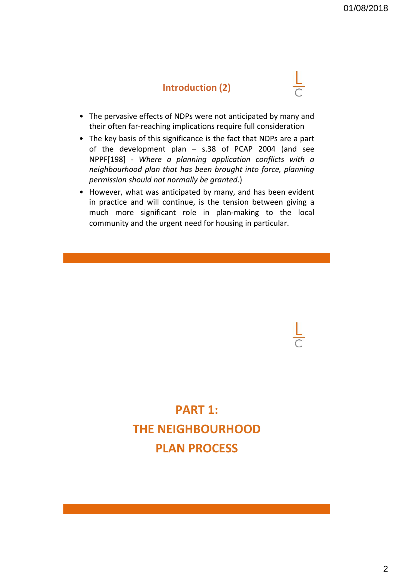## **Introduction (2)**

- The pervasive effects of NDPs were not anticipated by many and their often far-reaching implications require full consideration
- The key basis of this significance is the fact that NDPs are a part of the development plan – s.38 of PCAP 2004 (and see NPPF[198] - *Where a planning application conflicts with a neighbourhood plan that has been brought into force, planning permission should not normally be granted*.)
- However, what was anticipated by many, and has been evident in practice and will continue, is the tension between giving a much more significant role in plan-making to the local community and the urgent need for housing in particular.

# **PART 1: THE NEIGHBOURHOOD PLAN PROCESS**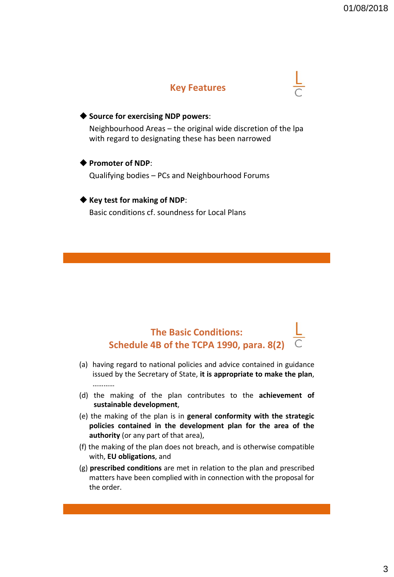## **Key Features**

#### ◆ **Source for exercising NDP powers**:

Neighbourhood Areas – the original wide discretion of the lpa with regard to designating these has been narrowed

#### ◆ **Promoter of NDP**:

Qualifying bodies – PCs and Neighbourhood Forums

#### ◆ **Key test for making of NDP**:

Basic conditions cf. soundness for Local Plans

# **The Basic Conditions: Schedule 4B of the TCPA 1990, para. 8(2)**

- (a) having regard to national policies and advice contained in guidance issued by the Secretary of State, **it is appropriate to make the plan**, …………
- (d) the making of the plan contributes to the **achievement of sustainable development**,
- (e) the making of the plan is in **general conformity with the strategic policies contained in the development plan for the area of the authority** (or any part of that area),
- (f) the making of the plan does not breach, and is otherwise compatible with, **EU obligations**, and
- (g) **prescribed conditions** are met in relation to the plan and prescribed matters have been complied with in connection with the proposal for the order.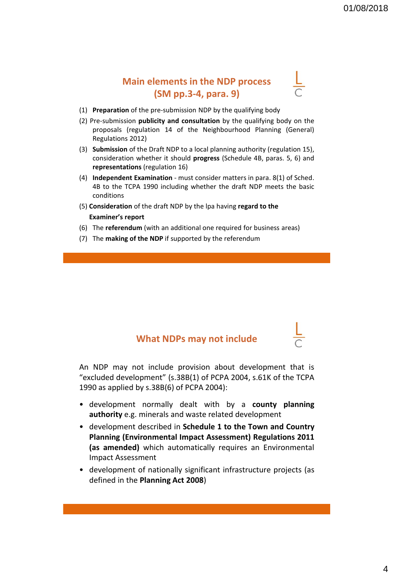# **Main elements in the NDP process (SM pp.3-4, para. 9)**

- (1) **Preparation** of the pre-submission NDP by the qualifying body
- (2) Pre-submission **publicity and consultation** by the qualifying body on the proposals (regulation 14 of the Neighbourhood Planning (General) Regulations 2012)
- (3) **Submission** of the Draft NDP to a local planning authority (regulation 15), consideration whether it should **progress** (Schedule 4B, paras. 5, 6) and **representations** (regulation 16)
- (4) **Independent Examination** must consider matters in para. 8(1) of Sched. 4B to the TCPA 1990 including whether the draft NDP meets the basic conditions
- (5) **Consideration** of the draft NDP by the lpa having **regard to the Examiner's report**
- (6) The **referendum** (with an additional one required for business areas)
- (7) The **making of the NDP** if supported by the referendum

## **What NDPs may not include**

An NDP may not include provision about development that is "excluded development" (s.38B(1) of PCPA 2004, s.61K of the TCPA 1990 as applied by s.38B(6) of PCPA 2004):

- development normally dealt with by a **county planning authority** e.g. minerals and waste related development
- development described in **Schedule 1 to the Town and Country Planning (Environmental Impact Assessment) Regulations 2011 (as amended)** which automatically requires an Environmental Impact Assessment
- development of nationally significant infrastructure projects (as defined in the **Planning Act 2008**)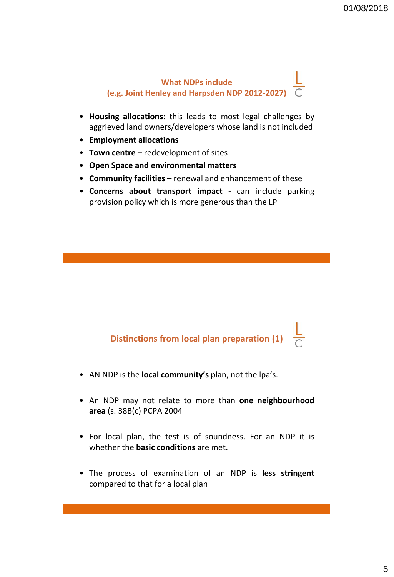# **What NDPs include (e.g. Joint Henley and Harpsden NDP 2012-2027)**

- **Housing allocations**: this leads to most legal challenges by aggrieved land owners/developers whose land is not included
- **Employment allocations**
- **Town centre –** redevelopment of sites
- **Open Space and environmental matters**
- **Community facilities** renewal and enhancement of these
- **Concerns about transport impact -** can include parking provision policy which is more generous than the LP

**Distinctions from local plan preparation (1)**

- AN NDP is the **local community's** plan, not the lpa's.
- An NDP may not relate to more than **one neighbourhood area** (s. 38B(c) PCPA 2004
- For local plan, the test is of soundness. For an NDP it is whether the **basic conditions** are met.
- The process of examination of an NDP is **less stringent** compared to that for a local plan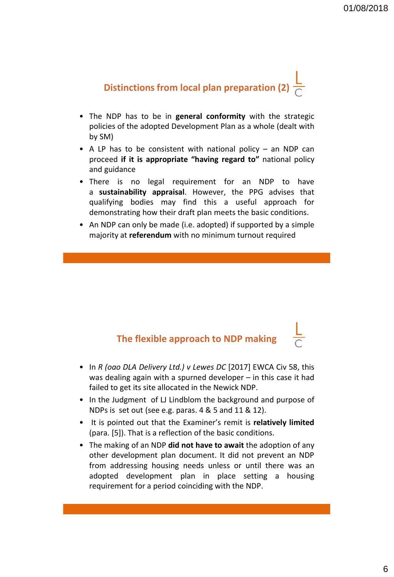# **Distinctions from local plan preparation (2)**

- The NDP has to be in **general conformity** with the strategic policies of the adopted Development Plan as a whole (dealt with by SM)
- A LP has to be consistent with national policy  $-$  an NDP can proceed **if it is appropriate "having regard to"** national policy and guidance
- There is no legal requirement for an NDP to have a **sustainability appraisal**. However, the PPG advises that qualifying bodies may find this a useful approach for demonstrating how their draft plan meets the basic conditions.
- An NDP can only be made (i.e. adopted) if supported by a simple majority at **referendum** with no minimum turnout required

# **The flexible approach to NDP making**

- In *R (oao DLA Delivery Ltd.) v Lewes DC* [2017] EWCA Civ 58, this was dealing again with a spurned developer – in this case it had failed to get its site allocated in the Newick NDP.
- In the Judgment of LJ Lindblom the background and purpose of NDPs is set out (see e.g. paras. 4 & 5 and 11 & 12).
- It is pointed out that the Examiner's remit is **relatively limited** (para. [5]). That is a reflection of the basic conditions.
- The making of an NDP **did not have to await** the adoption of any other development plan document. It did not prevent an NDP from addressing housing needs unless or until there was an adopted development plan in place setting a housing requirement for a period coinciding with the NDP.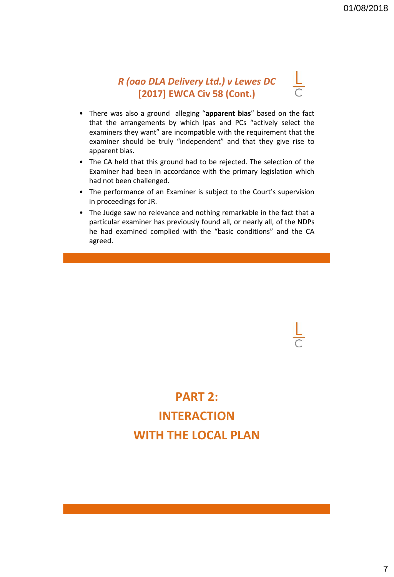# *R (oao DLA Delivery Ltd.) v Lewes DC*  **[2017] EWCA Civ 58 (Cont.)**

- There was also a ground alleging "**apparent bias**" based on the fact that the arrangements by which lpas and PCs "actively select the examiners they want" are incompatible with the requirement that the examiner should be truly "independent" and that they give rise to apparent bias.
- The CA held that this ground had to be rejected. The selection of the Examiner had been in accordance with the primary legislation which had not been challenged.
- The performance of an Examiner is subject to the Court's supervision in proceedings for JR.
- The Judge saw no relevance and nothing remarkable in the fact that a particular examiner has previously found all, or nearly all, of the NDPs he had examined complied with the "basic conditions" and the CA agreed.

# **PART 2: INTERACTION WITH THE LOCAL PLAN**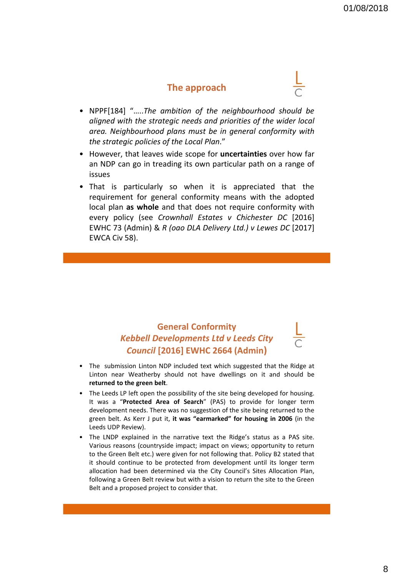### **The approach**

- NPPF[184] "…..*The ambition of the neighbourhood should be aligned with the strategic needs and priorities of the wider local area. Neighbourhood plans must be in general conformity with the strategic policies of the Local Plan*."
- However, that leaves wide scope for **uncertainties** over how far an NDP can go in treading its own particular path on a range of issues
- That is particularly so when it is appreciated that the requirement for general conformity means with the adopted local plan **as whole** and that does not require conformity with every policy (see *Crownhall Estates v Chichester DC* [2016] EWHC 73 (Admin) & *R (oao DLA Delivery Ltd.) v Lewes DC* [2017] EWCA Civ 58).

# **General Conformity** *Kebbell Developments Ltd v Leeds City Council* **[2016] EWHC 2664 (Admin)**

- The submission Linton NDP included text which suggested that the Ridge at Linton near Weatherby should not have dwellings on it and should be **returned to the green belt**.
- The Leeds LP left open the possibility of the site being developed for housing. It was a "**Protected Area of Search**" (PAS) to provide for longer term development needs. There was no suggestion of the site being returned to the green belt. As Kerr J put it, **it was "earmarked" for housing in 2006** (in the Leeds UDP Review).
- The LNDP explained in the narrative text the Ridge's status as a PAS site. Various reasons (countryside impact; impact on views; opportunity to return to the Green Belt etc.) were given for not following that. Policy B2 stated that it should continue to be protected from development until its longer term allocation had been determined via the City Council's Sites Allocation Plan, following a Green Belt review but with a vision to return the site to the Green Belt and a proposed project to consider that.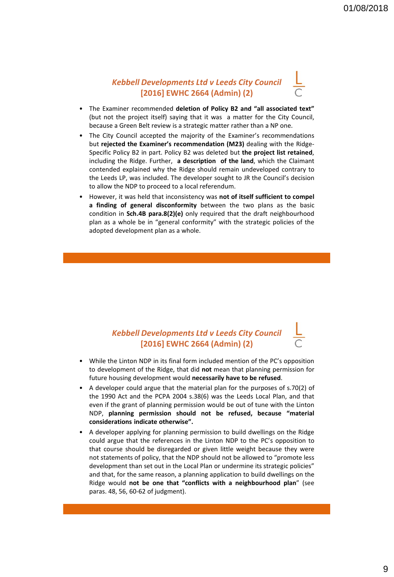#### *Kebbell Developments Ltd v Leeds City Council*  **[2016] EWHC 2664 (Admin) (2)**

- The Examiner recommended **deletion of Policy B2 and "all associated text"** (but not the project itself) saying that it was a matter for the City Council, because a Green Belt review is a strategic matter rather than a NP one.
- The City Council accepted the majority of the Examiner's recommendations but **rejected the Examiner's recommendation (M23)** dealing with the Ridge-Specific Policy B2 in part. Policy B2 was deleted but **the project list retained**, including the Ridge. Further, **a description of the land**, which the Claimant contended explained why the Ridge should remain undeveloped contrary to the Leeds LP, was included. The developer sought to JR the Council's decision to allow the NDP to proceed to a local referendum.
- However, it was held that inconsistency was **not of itself sufficient to compel a finding of general disconformity** between the two plans as the basic condition in **Sch.4B para.8(2)(e)** only required that the draft neighbourhood plan as a whole be in "general conformity" with the strategic policies of the adopted development plan as a whole.

## *Kebbell Developments Ltd v Leeds City Council*  **[2016] EWHC 2664 (Admin) (2)**

- While the Linton NDP in its final form included mention of the PC's opposition to development of the Ridge, that did **not** mean that planning permission for future housing development would **necessarily have to be refused**.
- A developer could argue that the material plan for the purposes of s.70(2) of the 1990 Act and the PCPA 2004 s.38(6) was the Leeds Local Plan, and that even if the grant of planning permission would be out of tune with the Linton NDP, **planning permission should not be refused, because "material considerations indicate otherwise".**
- A developer applying for planning permission to build dwellings on the Ridge could argue that the references in the Linton NDP to the PC's opposition to that course should be disregarded or given little weight because they were not statements of policy, that the NDP should not be allowed to "promote less development than set out in the Local Plan or undermine its strategic policies" and that, for the same reason, a planning application to build dwellings on the Ridge would **not be one that "conflicts with a neighbourhood plan**" (see paras. 48, 56, 60-62 of judgment).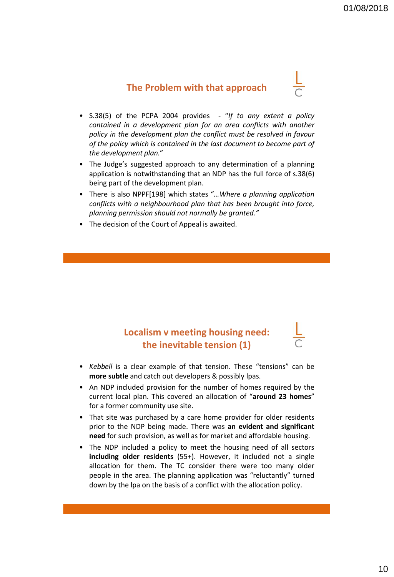# **The Problem with that approach**

- 
- S.38(5) of the PCPA 2004 provides "*If to any extent a policy contained in a development plan for an area conflicts with another policy in the development plan the conflict must be resolved in favour of the policy which is contained in the last document to become part of the development plan.*"
- The Judge's suggested approach to any determination of a planning application is notwithstanding that an NDP has the full force of s.38(6) being part of the development plan.
- There is also NPPF[198] which states "*…Where a planning application conflicts with a neighbourhood plan that has been brought into force, planning permission should not normally be granted."*
- The decision of the Court of Appeal is awaited.

# **Localism v meeting housing need: the inevitable tension (1)**

- *Kebbell* is a clear example of that tension. These "tensions" can be **more subtle** and catch out developers & possibly lpas.
- An NDP included provision for the number of homes required by the current local plan. This covered an allocation of "**around 23 homes**" for a former community use site.
- That site was purchased by a care home provider for older residents prior to the NDP being made. There was **an evident and significant need** for such provision, as well as for market and affordable housing.
- The NDP included a policy to meet the housing need of all sectors **including older residents** (55+). However, it included not a single allocation for them. The TC consider there were too many older people in the area. The planning application was "reluctantly" turned down by the lpa on the basis of a conflict with the allocation policy.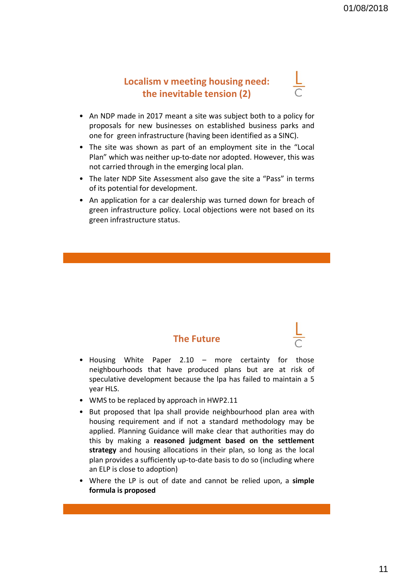# **Localism v meeting housing need: the inevitable tension (2)**



- An NDP made in 2017 meant a site was subject both to a policy for proposals for new businesses on established business parks and one for green infrastructure (having been identified as a SINC).
- The site was shown as part of an employment site in the "Local Plan" which was neither up-to-date nor adopted. However, this was not carried through in the emerging local plan.
- The later NDP Site Assessment also gave the site a "Pass" in terms of its potential for development.
- An application for a car dealership was turned down for breach of green infrastructure policy. Local objections were not based on its green infrastructure status.

## **The Future**

- Housing White Paper 2.10 more certainty for those neighbourhoods that have produced plans but are at risk of speculative development because the lpa has failed to maintain a 5 year HLS.
- WMS to be replaced by approach in HWP2.11
- But proposed that lpa shall provide neighbourhood plan area with housing requirement and if not a standard methodology may be applied. Planning Guidance will make clear that authorities may do this by making a **reasoned judgment based on the settlement strategy** and housing allocations in their plan, so long as the local plan provides a sufficiently up-to-date basis to do so (including where an ELP is close to adoption)
- Where the LP is out of date and cannot be relied upon, a **simple formula is proposed**